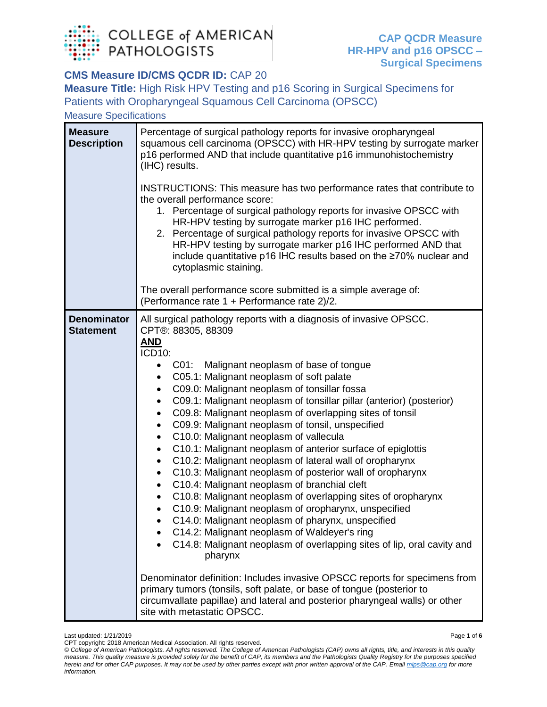

## **CMS Measure ID/CMS QCDR ID: CAP 20**

**Measure Title:** High Risk HPV Testing and p16 Scoring in Surgical Specimens for Patients with Oropharyngeal Squamous Cell Carcinoma (OPSCC)

Measure Specifications

| <b>Measure</b><br><b>Description</b>   | Percentage of surgical pathology reports for invasive oropharyngeal<br>squamous cell carcinoma (OPSCC) with HR-HPV testing by surrogate marker<br>p16 performed AND that include quantitative p16 immunohistochemistry<br>(IHC) results.<br>INSTRUCTIONS: This measure has two performance rates that contribute to<br>the overall performance score:<br>1. Percentage of surgical pathology reports for invasive OPSCC with<br>HR-HPV testing by surrogate marker p16 IHC performed.<br>2. Percentage of surgical pathology reports for invasive OPSCC with<br>HR-HPV testing by surrogate marker p16 IHC performed AND that<br>include quantitative p16 IHC results based on the ≥70% nuclear and<br>cytoplasmic staining.<br>The overall performance score submitted is a simple average of:                                                                                                                                                                                                                                                                                                                                                                                                                                                                                                                                                                             |  |  |  |
|----------------------------------------|-----------------------------------------------------------------------------------------------------------------------------------------------------------------------------------------------------------------------------------------------------------------------------------------------------------------------------------------------------------------------------------------------------------------------------------------------------------------------------------------------------------------------------------------------------------------------------------------------------------------------------------------------------------------------------------------------------------------------------------------------------------------------------------------------------------------------------------------------------------------------------------------------------------------------------------------------------------------------------------------------------------------------------------------------------------------------------------------------------------------------------------------------------------------------------------------------------------------------------------------------------------------------------------------------------------------------------------------------------------------------------|--|--|--|
|                                        | (Performance rate 1 + Performance rate 2)/2.                                                                                                                                                                                                                                                                                                                                                                                                                                                                                                                                                                                                                                                                                                                                                                                                                                                                                                                                                                                                                                                                                                                                                                                                                                                                                                                                |  |  |  |
| <b>Denominator</b><br><b>Statement</b> | All surgical pathology reports with a diagnosis of invasive OPSCC.<br>CPT®: 88305, 88309<br><b>AND</b><br>ICD10:<br>CO1:<br>Malignant neoplasm of base of tongue<br>C05.1: Malignant neoplasm of soft palate<br>C09.0: Malignant neoplasm of tonsillar fossa<br>٠<br>C09.1: Malignant neoplasm of tonsillar pillar (anterior) (posterior)<br>C09.8: Malignant neoplasm of overlapping sites of tonsil<br>٠<br>C09.9: Malignant neoplasm of tonsil, unspecified<br>٠<br>C10.0: Malignant neoplasm of vallecula<br>$\bullet$<br>C10.1: Malignant neoplasm of anterior surface of epiglottis<br>$\bullet$<br>C10.2: Malignant neoplasm of lateral wall of oropharynx<br>٠<br>C10.3: Malignant neoplasm of posterior wall of oropharynx<br>C10.4: Malignant neoplasm of branchial cleft<br>C10.8: Malignant neoplasm of overlapping sites of oropharynx<br>C10.9: Malignant neoplasm of oropharynx, unspecified<br>C14.0: Malignant neoplasm of pharynx, unspecified<br>C14.2: Malignant neoplasm of Waldeyer's ring<br>C14.8: Malignant neoplasm of overlapping sites of lip, oral cavity and<br>pharynx<br>Denominator definition: Includes invasive OPSCC reports for specimens from<br>primary tumors (tonsils, soft palate, or base of tongue (posterior to<br>circumvallate papillae) and lateral and posterior pharyngeal walls) or other<br>site with metastatic OPSCC. |  |  |  |

Last updated: 1/21/2019 Page **1** of **6**

CPT copyright: 2018 American Medical Association. All rights reserved. *© College of American Pathologists. All rights reserved. The College of American Pathologists (CAP) owns all rights, title, and interests in this quality measure. This quality measure is provided solely for the benefit of CAP, its members and the Pathologists Quality Registry for the purposes specified herein and for other CAP purposes. It may not be used by other parties except with prior written approval of the CAP. Emai[l mips@cap.org](mailto:mips@cap.org) for more information.*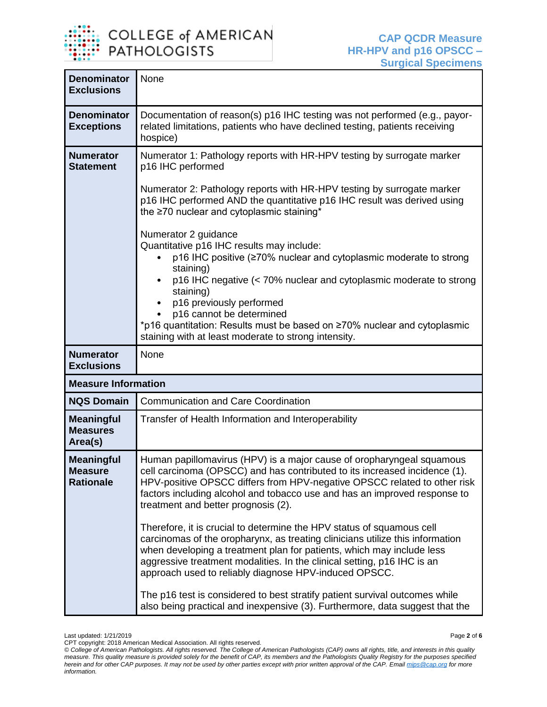

Last updated: 1/21/2019 Page **2** of **6**

CPT copyright: 2018 American Medical Association. All rights reserved.

*<sup>©</sup> College of American Pathologists. All rights reserved. The College of American Pathologists (CAP) owns all rights, title, and interests in this quality measure. This quality measure is provided solely for the benefit of CAP, its members and the Pathologists Quality Registry for the purposes specified herein and for other CAP purposes. It may not be used by other parties except with prior written approval of the CAP. Emai[l mips@cap.org](mailto:mips@cap.org) for more information.*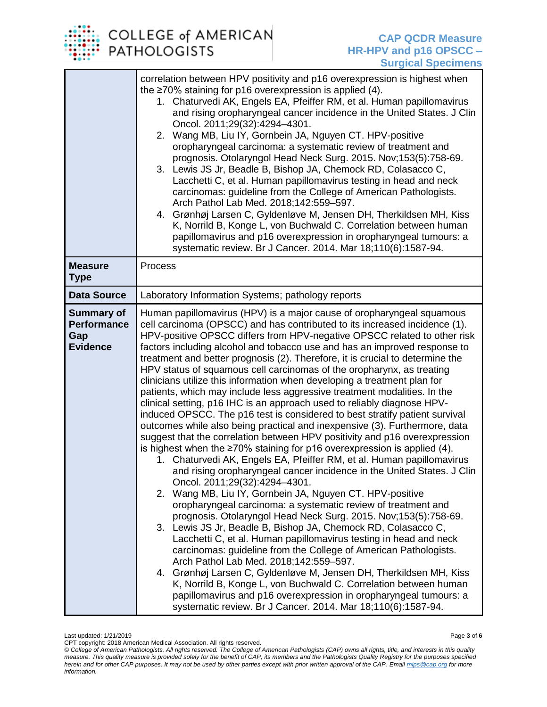## **COLLEGE of AMERICAN PATHOLOGISTS**

|                                                                   | correlation between HPV positivity and p16 overexpression is highest when<br>the $\geq$ 70% staining for p16 overexpression is applied (4).<br>1. Chaturvedi AK, Engels EA, Pfeiffer RM, et al. Human papillomavirus<br>and rising oropharyngeal cancer incidence in the United States. J Clin<br>Oncol. 2011;29(32):4294-4301.<br>2. Wang MB, Liu IY, Gornbein JA, Nguyen CT. HPV-positive<br>oropharyngeal carcinoma: a systematic review of treatment and<br>prognosis. Otolaryngol Head Neck Surg. 2015. Nov;153(5):758-69.<br>3. Lewis JS Jr, Beadle B, Bishop JA, Chemock RD, Colasacco C,<br>Lacchetti C, et al. Human papillomavirus testing in head and neck<br>carcinomas: guideline from the College of American Pathologists.<br>Arch Pathol Lab Med. 2018;142:559-597.<br>4. Grønhøj Larsen C, Gyldenløve M, Jensen DH, Therkildsen MH, Kiss<br>K, Norrild B, Konge L, von Buchwald C. Correlation between human<br>papillomavirus and p16 overexpression in oropharyngeal tumours: a<br>systematic review. Br J Cancer. 2014. Mar 18;110(6):1587-94.                                                                                                                                                                                                                                                                                                                                                                                                                                                                                                                                                                                                                                                                                                                                                                                                                                                                                             |
|-------------------------------------------------------------------|----------------------------------------------------------------------------------------------------------------------------------------------------------------------------------------------------------------------------------------------------------------------------------------------------------------------------------------------------------------------------------------------------------------------------------------------------------------------------------------------------------------------------------------------------------------------------------------------------------------------------------------------------------------------------------------------------------------------------------------------------------------------------------------------------------------------------------------------------------------------------------------------------------------------------------------------------------------------------------------------------------------------------------------------------------------------------------------------------------------------------------------------------------------------------------------------------------------------------------------------------------------------------------------------------------------------------------------------------------------------------------------------------------------------------------------------------------------------------------------------------------------------------------------------------------------------------------------------------------------------------------------------------------------------------------------------------------------------------------------------------------------------------------------------------------------------------------------------------------------------------------------------------------------------------------------------------------------|
| <b>Measure</b><br><b>Type</b>                                     | Process                                                                                                                                                                                                                                                                                                                                                                                                                                                                                                                                                                                                                                                                                                                                                                                                                                                                                                                                                                                                                                                                                                                                                                                                                                                                                                                                                                                                                                                                                                                                                                                                                                                                                                                                                                                                                                                                                                                                                        |
| <b>Data Source</b>                                                | Laboratory Information Systems; pathology reports                                                                                                                                                                                                                                                                                                                                                                                                                                                                                                                                                                                                                                                                                                                                                                                                                                                                                                                                                                                                                                                                                                                                                                                                                                                                                                                                                                                                                                                                                                                                                                                                                                                                                                                                                                                                                                                                                                              |
| <b>Summary of</b><br><b>Performance</b><br>Gap<br><b>Evidence</b> | Human papillomavirus (HPV) is a major cause of oropharyngeal squamous<br>cell carcinoma (OPSCC) and has contributed to its increased incidence (1).<br>HPV-positive OPSCC differs from HPV-negative OPSCC related to other risk<br>factors including alcohol and tobacco use and has an improved response to<br>treatment and better prognosis (2). Therefore, it is crucial to determine the<br>HPV status of squamous cell carcinomas of the oropharynx, as treating<br>clinicians utilize this information when developing a treatment plan for<br>patients, which may include less aggressive treatment modalities. In the<br>clinical setting, p16 IHC is an approach used to reliably diagnose HPV-<br>induced OPSCC. The p16 test is considered to best stratify patient survival<br>outcomes while also being practical and inexpensive (3). Furthermore, data<br>suggest that the correlation between HPV positivity and p16 overexpression<br>is highest when the $\geq 70\%$ staining for p16 overexpression is applied (4).<br>1. Chaturvedi AK, Engels EA, Pfeiffer RM, et al. Human papillomavirus<br>and rising oropharyngeal cancer incidence in the United States. J Clin<br>Oncol. 2011;29(32):4294-4301.<br>2. Wang MB, Liu IY, Gornbein JA, Nguyen CT. HPV-positive<br>oropharyngeal carcinoma: a systematic review of treatment and<br>prognosis. Otolaryngol Head Neck Surg. 2015. Nov;153(5):758-69.<br>3. Lewis JS Jr, Beadle B, Bishop JA, Chemock RD, Colasacco C,<br>Lacchetti C, et al. Human papillomavirus testing in head and neck<br>carcinomas: guideline from the College of American Pathologists.<br>Arch Pathol Lab Med. 2018;142:559-597.<br>4. Grønhøj Larsen C, Gyldenløve M, Jensen DH, Therkildsen MH, Kiss<br>K, Norrild B, Konge L, von Buchwald C. Correlation between human<br>papillomavirus and p16 overexpression in oropharyngeal tumours: a<br>systematic review. Br J Cancer. 2014. Mar 18;110(6):1587-94. |

Last updated: 1/21/2019 Page **3** of **6**

CPT copyright: 2018 American Medical Association. All rights reserved.

*<sup>©</sup> College of American Pathologists. All rights reserved. The College of American Pathologists (CAP) owns all rights, title, and interests in this quality measure. This quality measure is provided solely for the benefit of CAP, its members and the Pathologists Quality Registry for the purposes specified herein and for other CAP purposes. It may not be used by other parties except with prior written approval of the CAP. Emai[l mips@cap.org](mailto:mips@cap.org) for more information.*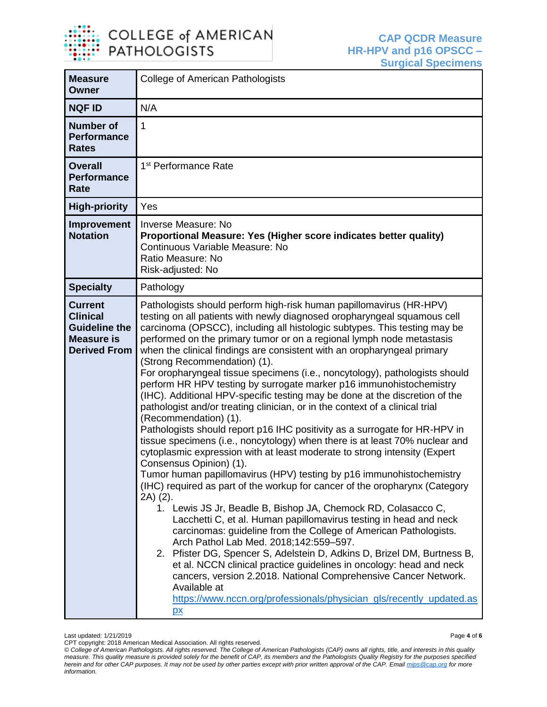

| <b>Measure</b><br>Owner                                                                               | <b>College of American Pathologists</b>                                                                                                                                                                                                                                                                                                                                                                                                                                                                                                                                                                                                                                                                                                                                                                                                                                                                                                                                                                                                                                                                                                                                                                                                                                                                                                                                                                                                                                                                                                                                                                                                                                                                                                                                                 |  |
|-------------------------------------------------------------------------------------------------------|-----------------------------------------------------------------------------------------------------------------------------------------------------------------------------------------------------------------------------------------------------------------------------------------------------------------------------------------------------------------------------------------------------------------------------------------------------------------------------------------------------------------------------------------------------------------------------------------------------------------------------------------------------------------------------------------------------------------------------------------------------------------------------------------------------------------------------------------------------------------------------------------------------------------------------------------------------------------------------------------------------------------------------------------------------------------------------------------------------------------------------------------------------------------------------------------------------------------------------------------------------------------------------------------------------------------------------------------------------------------------------------------------------------------------------------------------------------------------------------------------------------------------------------------------------------------------------------------------------------------------------------------------------------------------------------------------------------------------------------------------------------------------------------------|--|
| <b>NQF ID</b>                                                                                         | N/A                                                                                                                                                                                                                                                                                                                                                                                                                                                                                                                                                                                                                                                                                                                                                                                                                                                                                                                                                                                                                                                                                                                                                                                                                                                                                                                                                                                                                                                                                                                                                                                                                                                                                                                                                                                     |  |
| <b>Number of</b><br><b>Performance</b><br><b>Rates</b>                                                | $\mathbf{1}$                                                                                                                                                                                                                                                                                                                                                                                                                                                                                                                                                                                                                                                                                                                                                                                                                                                                                                                                                                                                                                                                                                                                                                                                                                                                                                                                                                                                                                                                                                                                                                                                                                                                                                                                                                            |  |
| <b>Overall</b><br><b>Performance</b><br>Rate                                                          | 1 <sup>st</sup> Performance Rate                                                                                                                                                                                                                                                                                                                                                                                                                                                                                                                                                                                                                                                                                                                                                                                                                                                                                                                                                                                                                                                                                                                                                                                                                                                                                                                                                                                                                                                                                                                                                                                                                                                                                                                                                        |  |
| <b>High-priority</b>                                                                                  | Yes                                                                                                                                                                                                                                                                                                                                                                                                                                                                                                                                                                                                                                                                                                                                                                                                                                                                                                                                                                                                                                                                                                                                                                                                                                                                                                                                                                                                                                                                                                                                                                                                                                                                                                                                                                                     |  |
| Improvement<br><b>Notation</b>                                                                        | Inverse Measure: No<br>Proportional Measure: Yes (Higher score indicates better quality)<br>Continuous Variable Measure: No<br>Ratio Measure: No<br>Risk-adjusted: No                                                                                                                                                                                                                                                                                                                                                                                                                                                                                                                                                                                                                                                                                                                                                                                                                                                                                                                                                                                                                                                                                                                                                                                                                                                                                                                                                                                                                                                                                                                                                                                                                   |  |
| <b>Specialty</b>                                                                                      | Pathology                                                                                                                                                                                                                                                                                                                                                                                                                                                                                                                                                                                                                                                                                                                                                                                                                                                                                                                                                                                                                                                                                                                                                                                                                                                                                                                                                                                                                                                                                                                                                                                                                                                                                                                                                                               |  |
| <b>Current</b><br><b>Clinical</b><br><b>Guideline the</b><br><b>Measure is</b><br><b>Derived From</b> | Pathologists should perform high-risk human papillomavirus (HR-HPV)<br>testing on all patients with newly diagnosed oropharyngeal squamous cell<br>carcinoma (OPSCC), including all histologic subtypes. This testing may be<br>performed on the primary tumor or on a regional lymph node metastasis<br>when the clinical findings are consistent with an oropharyngeal primary<br>(Strong Recommendation) (1).<br>For oropharyngeal tissue specimens (i.e., noncytology), pathologists should<br>perform HR HPV testing by surrogate marker p16 immunohistochemistry<br>(IHC). Additional HPV-specific testing may be done at the discretion of the<br>pathologist and/or treating clinician, or in the context of a clinical trial<br>(Recommendation) (1).<br>Pathologists should report p16 IHC positivity as a surrogate for HR-HPV in<br>tissue specimens (i.e., noncytology) when there is at least 70% nuclear and<br>cytoplasmic expression with at least moderate to strong intensity (Expert<br>Consensus Opinion) (1).<br>Tumor human papillomavirus (HPV) testing by p16 immunohistochemistry<br>(IHC) required as part of the workup for cancer of the oropharynx (Category<br>2A) (2).<br>1. Lewis JS Jr, Beadle B, Bishop JA, Chemock RD, Colasacco C,<br>Lacchetti C, et al. Human papillomavirus testing in head and neck<br>carcinomas: guideline from the College of American Pathologists.<br>Arch Pathol Lab Med. 2018;142:559-597.<br>2. Pfister DG, Spencer S, Adelstein D, Adkins D, Brizel DM, Burtness B,<br>et al. NCCN clinical practice guidelines in oncology: head and neck<br>cancers, version 2.2018. National Comprehensive Cancer Network.<br>Available at<br>https://www.nccn.org/professionals/physician_gls/recently_updated.as<br>$\mathbf{p}$ |  |

Last updated: 1/21/2019 Page **4** of **6**

CPT copyright: 2018 American Medical Association. All rights reserved.

*<sup>©</sup> College of American Pathologists. All rights reserved. The College of American Pathologists (CAP) owns all rights, title, and interests in this quality measure. This quality measure is provided solely for the benefit of CAP, its members and the Pathologists Quality Registry for the purposes specified herein and for other CAP purposes. It may not be used by other parties except with prior written approval of the CAP. Emai[l mips@cap.org](mailto:mips@cap.org) for more information.*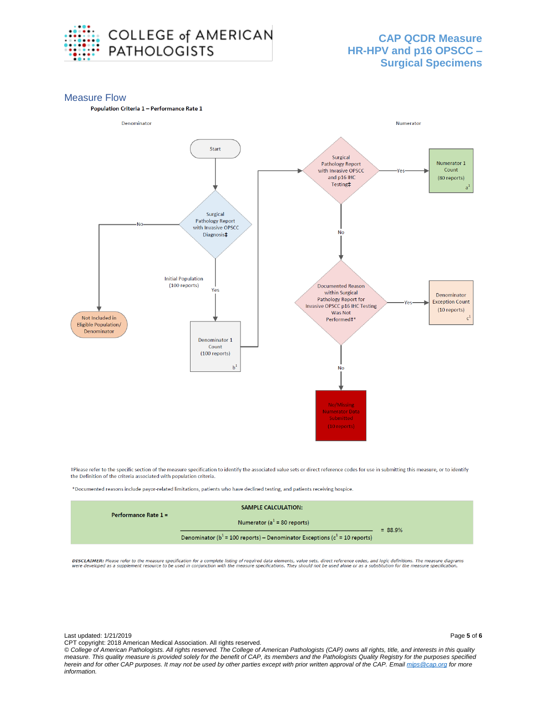

#### Measure Flow





#Please refer to the specific section of the measure specification to identify the associated value sets or direct reference codes for use in submitting this measure, or to identify the Definition of the criteria associated with population criteria.

\*Documented reasons include payor-related limitations, patients who have declined testing, and patients receiving hospice.

| Performance Rate $1 =$ | <b>SAMPLE CALCULATION:</b>                                                        |           |
|------------------------|-----------------------------------------------------------------------------------|-----------|
|                        | Numerator ( $a1$ = 80 reports)                                                    | $= 88.9%$ |
|                        | Denominator ( $b^1$ = 100 reports) – Denominator Exceptions ( $c^1$ = 10 reports) |           |

DISCLAIMER: Please refer to the measure specification for a complete listing of required data elements, value sets, direct reference codes, and logic definitions. The measure diagrams<br>were developed as a supplement resourc

*© College of American Pathologists. All rights reserved. The College of American Pathologists (CAP) owns all rights, title, and interests in this quality measure. This quality measure is provided solely for the benefit of CAP, its members and the Pathologists Quality Registry for the purposes specified herein and for other CAP purposes. It may not be used by other parties except with prior written approval of the CAP. Emai[l mips@cap.org](mailto:mips@cap.org) for more information.*